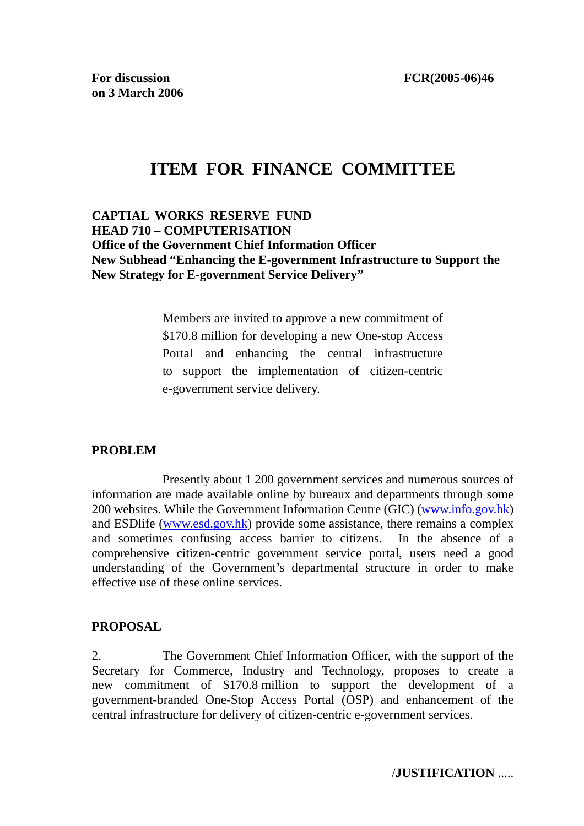# **ITEM FOR FINANCE COMMITTEE**

# **CAPTIAL WORKS RESERVE FUND HEAD 710 – COMPUTERISATION Office of the Government Chief Information Officer New Subhead "Enhancing the E-government Infrastructure to Support the New Strategy for E-government Service Delivery"**

Members are invited to approve a new commitment of \$170.8 million for developing a new One-stop Access Portal and enhancing the central infrastructure to support the implementation of citizen-centric e-government service delivery.

# **PROBLEM**

 Presently about 1 200 government services and numerous sources of information are made available online by bureaux and departments through some 200 websites. While the Government Information Centre (GIC) (www.info.gov.hk) and ESDlife (www.esd.gov.hk) provide some assistance, there remains a complex and sometimes confusing access barrier to citizens. In the absence of a comprehensive citizen-centric government service portal, users need a good understanding of the Government's departmental structure in order to make effective use of these online services.

# **PROPOSAL**

2. The Government Chief Information Officer, with the support of the Secretary for Commerce, Industry and Technology, proposes to create a new commitment of \$170.8 million to support the development of a government-branded One-Stop Access Portal (OSP) and enhancement of the central infrastructure for delivery of citizen-centric e-government services.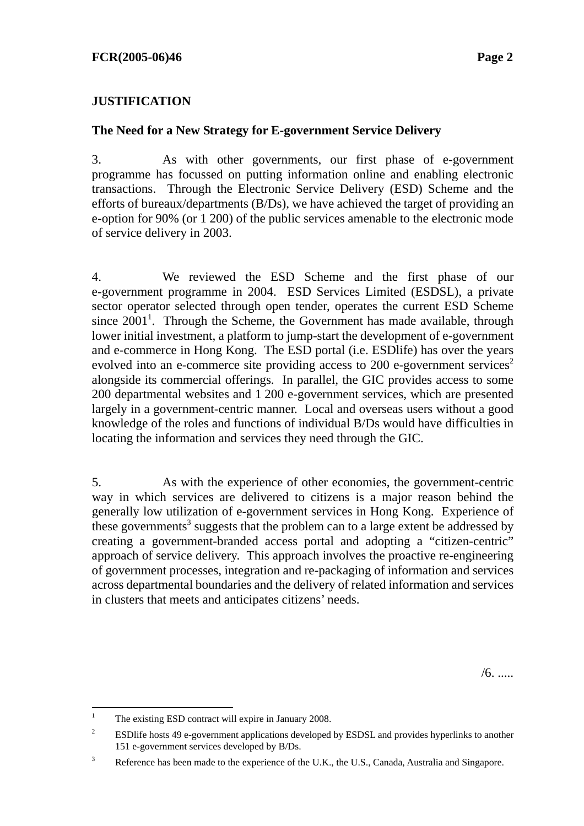# **JUSTIFICATION**

# **The Need for a New Strategy for E-government Service Delivery**

3. As with other governments, our first phase of e-government programme has focussed on putting information online and enabling electronic transactions. Through the Electronic Service Delivery (ESD) Scheme and the efforts of bureaux/departments (B/Ds), we have achieved the target of providing an e-option for 90% (or 1 200) of the public services amenable to the electronic mode of service delivery in 2003.

4. We reviewed the ESD Scheme and the first phase of our e-government programme in 2004. ESD Services Limited (ESDSL), a private sector operator selected through open tender, operates the current ESD Scheme since  $2001<sup>1</sup>$ . Through the Scheme, the Government has made available, through lower initial investment, a platform to jump-start the development of e-government and e-commerce in Hong Kong. The ESD portal (i.e. ESDlife) has over the years evolved into an e-commerce site providing access to 200 e-government services<sup>2</sup> alongside its commercial offerings. In parallel, the GIC provides access to some 200 departmental websites and 1 200 e-government services, which are presented largely in a government-centric manner. Local and overseas users without a good knowledge of the roles and functions of individual B/Ds would have difficulties in locating the information and services they need through the GIC.

5. As with the experience of other economies, the government-centric way in which services are delivered to citizens is a major reason behind the generally low utilization of e-government services in Hong Kong. Experience of these governments<sup>3</sup> suggests that the problem can to a large extent be addressed by creating a government-branded access portal and adopting a "citizen-centric" approach of service delivery. This approach involves the proactive re-engineering of government processes, integration and re-packaging of information and services across departmental boundaries and the delivery of related information and services in clusters that meets and anticipates citizens' needs.

/6. .....

 $\frac{1}{1}$ The existing ESD contract will expire in January 2008.

<sup>2</sup> ESDlife hosts 49 e-government applications developed by ESDSL and provides hyperlinks to another 151 e-government services developed by B/Ds.

<sup>3</sup> Reference has been made to the experience of the U.K., the U.S., Canada, Australia and Singapore.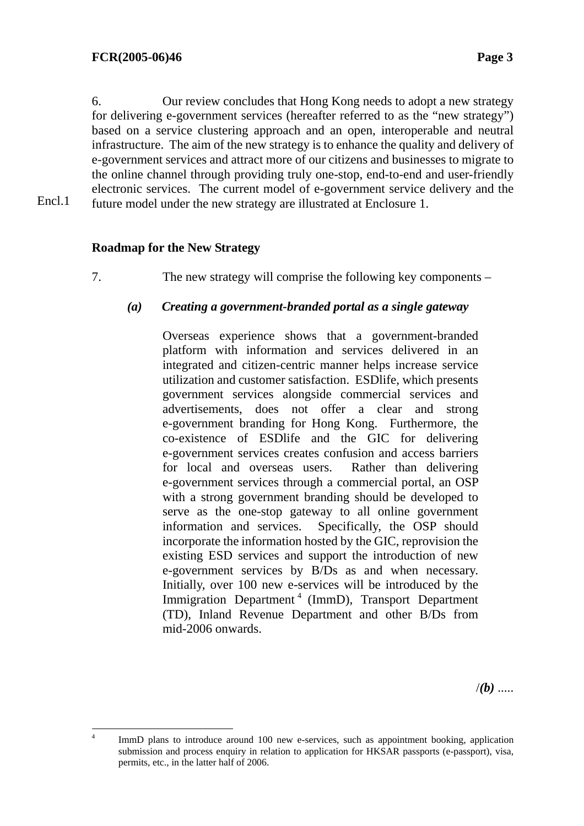Encl.1

6. Our review concludes that Hong Kong needs to adopt a new strategy for delivering e-government services (hereafter referred to as the "new strategy") based on a service clustering approach and an open, interoperable and neutral infrastructure. The aim of the new strategy is to enhance the quality and delivery of e-government services and attract more of our citizens and businesses to migrate to the online channel through providing truly one-stop, end-to-end and user-friendly electronic services. The current model of e-government service delivery and the future model under the new strategy are illustrated at Enclosure 1.

**Roadmap for the New Strategy** 

7. The new strategy will comprise the following key components –

### *(a) Creating a government-branded portal as a single gateway*

 Overseas experience shows that a government-branded platform with information and services delivered in an integrated and citizen-centric manner helps increase service utilization and customer satisfaction. ESDlife, which presents government services alongside commercial services and advertisements, does not offer a clear and strong e-government branding for Hong Kong. Furthermore, the co-existence of ESDlife and the GIC for delivering e-government services creates confusion and access barriers for local and overseas users. Rather than delivering e-government services through a commercial portal, an OSP with a strong government branding should be developed to serve as the one-stop gateway to all online government information and services. Specifically, the OSP should incorporate the information hosted by the GIC, reprovision the existing ESD services and support the introduction of new e-government services by B/Ds as and when necessary. Initially, over 100 new e-services will be introduced by the Immigration Department<sup>4</sup> (ImmD), Transport Department (TD), Inland Revenue Department and other B/Ds from mid-2006 onwards.

 $/(b)$  .....

 $\frac{1}{4}$  ImmD plans to introduce around 100 new e-services, such as appointment booking, application submission and process enquiry in relation to application for HKSAR passports (e-passport), visa, permits, etc., in the latter half of 2006.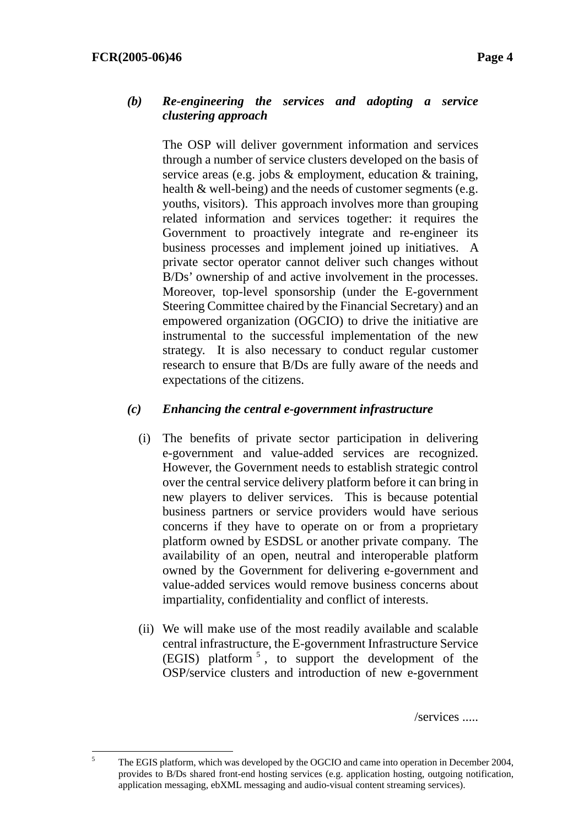### *(b) Re-engineering the services and adopting a service clustering approach*

The OSP will deliver government information and services through a number of service clusters developed on the basis of service areas (e.g. jobs & employment, education & training, health & well-being) and the needs of customer segments (e.g. youths, visitors). This approach involves more than grouping related information and services together: it requires the Government to proactively integrate and re-engineer its business processes and implement joined up initiatives. A private sector operator cannot deliver such changes without B/Ds' ownership of and active involvement in the processes. Moreover, top-level sponsorship (under the E-government Steering Committee chaired by the Financial Secretary) and an empowered organization (OGCIO) to drive the initiative are instrumental to the successful implementation of the new strategy. It is also necessary to conduct regular customer research to ensure that B/Ds are fully aware of the needs and expectations of the citizens.

# *(c) Enhancing the central e-government infrastructure*

- (i) The benefits of private sector participation in delivering e-government and value-added services are recognized. However, the Government needs to establish strategic control over the central service delivery platform before it can bring in new players to deliver services. This is because potential business partners or service providers would have serious concerns if they have to operate on or from a proprietary platform owned by ESDSL or another private company. The availability of an open, neutral and interoperable platform owned by the Government for delivering e-government and value-added services would remove business concerns about impartiality, confidentiality and conflict of interests.
- (ii) We will make use of the most readily available and scalable central infrastructure, the E-government Infrastructure Service (EGIS) platform <sup>5</sup> , to support the development of the OSP/service clusters and introduction of new e-government

/services .....

 $\frac{1}{5}$  The EGIS platform, which was developed by the OGCIO and came into operation in December 2004, provides to B/Ds shared front-end hosting services (e.g. application hosting, outgoing notification, application messaging, ebXML messaging and audio-visual content streaming services).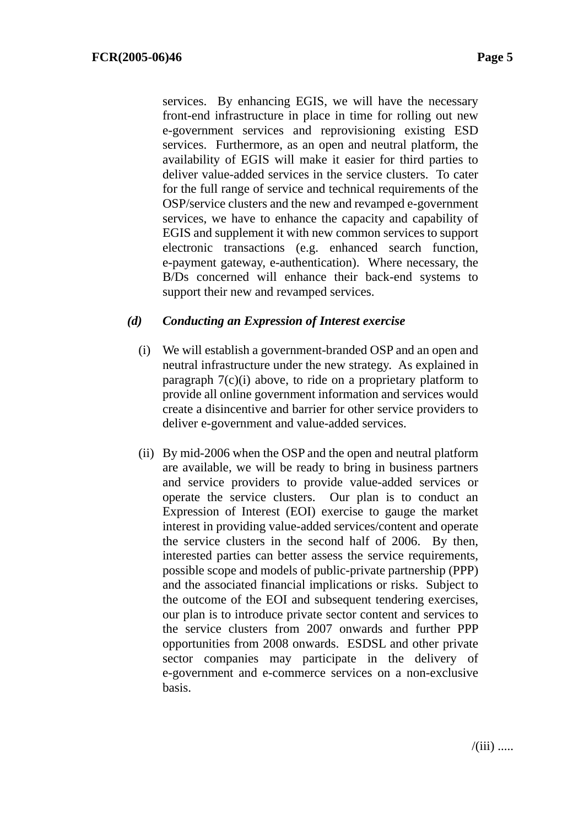services. By enhancing EGIS, we will have the necessary front-end infrastructure in place in time for rolling out new e-government services and reprovisioning existing ESD services. Furthermore, as an open and neutral platform, the availability of EGIS will make it easier for third parties to deliver value-added services in the service clusters. To cater for the full range of service and technical requirements of the OSP/service clusters and the new and revamped e-government services, we have to enhance the capacity and capability of EGIS and supplement it with new common services to support electronic transactions (e.g. enhanced search function, e-payment gateway, e-authentication). Where necessary, the B/Ds concerned will enhance their back-end systems to support their new and revamped services.

# *(d) Conducting an Expression of Interest exercise*

- (i) We will establish a government-branded OSP and an open and neutral infrastructure under the new strategy. As explained in paragraph 7(c)(i) above, to ride on a proprietary platform to provide all online government information and services would create a disincentive and barrier for other service providers to deliver e-government and value-added services.
- (ii) By mid-2006 when the OSP and the open and neutral platform are available, we will be ready to bring in business partners and service providers to provide value-added services or operate the service clusters. Our plan is to conduct an Expression of Interest (EOI) exercise to gauge the market interest in providing value-added services/content and operate the service clusters in the second half of 2006. By then, interested parties can better assess the service requirements, possible scope and models of public-private partnership (PPP) and the associated financial implications or risks. Subject to the outcome of the EOI and subsequent tendering exercises, our plan is to introduce private sector content and services to the service clusters from 2007 onwards and further PPP opportunities from 2008 onwards. ESDSL and other private sector companies may participate in the delivery of e-government and e-commerce services on a non-exclusive basis.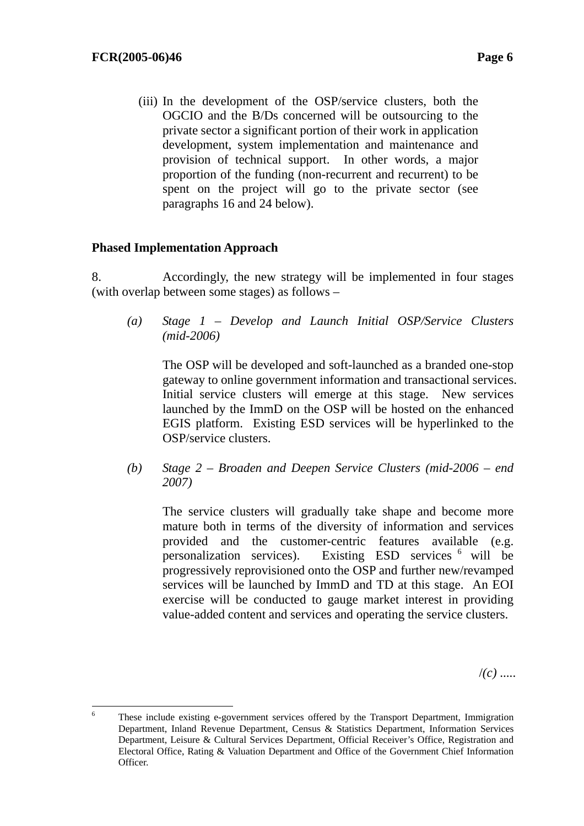(iii) In the development of the OSP/service clusters, both the OGCIO and the B/Ds concerned will be outsourcing to the private sector a significant portion of their work in application development, system implementation and maintenance and provision of technical support. In other words, a major proportion of the funding (non-recurrent and recurrent) to be spent on the project will go to the private sector (see paragraphs 16 and 24 below).

# **Phased Implementation Approach**

8. Accordingly, the new strategy will be implemented in four stages (with overlap between some stages) as follows –

*(a) Stage 1 – Develop and Launch Initial OSP/Service Clusters (mid-2006)* 

 The OSP will be developed and soft-launched as a branded one-stop gateway to online government information and transactional services. Initial service clusters will emerge at this stage. New services launched by the ImmD on the OSP will be hosted on the enhanced EGIS platform. Existing ESD services will be hyperlinked to the OSP/service clusters.

*(b) Stage 2 – Broaden and Deepen Service Clusters (mid-2006 – end 2007)* 

 The service clusters will gradually take shape and become more mature both in terms of the diversity of information and services provided and the customer-centric features available (e.g. personalization services). Existing ESD services 6 will be progressively reprovisioned onto the OSP and further new/revamped services will be launched by ImmD and TD at this stage. An EOI exercise will be conducted to gauge market interest in providing value-added content and services and operating the service clusters.

/*(c)* .....

 6 These include existing e-government services offered by the Transport Department, Immigration Department, Inland Revenue Department, Census & Statistics Department, Information Services Department, Leisure & Cultural Services Department, Official Receiver's Office, Registration and Electoral Office, Rating & Valuation Department and Office of the Government Chief Information Officer.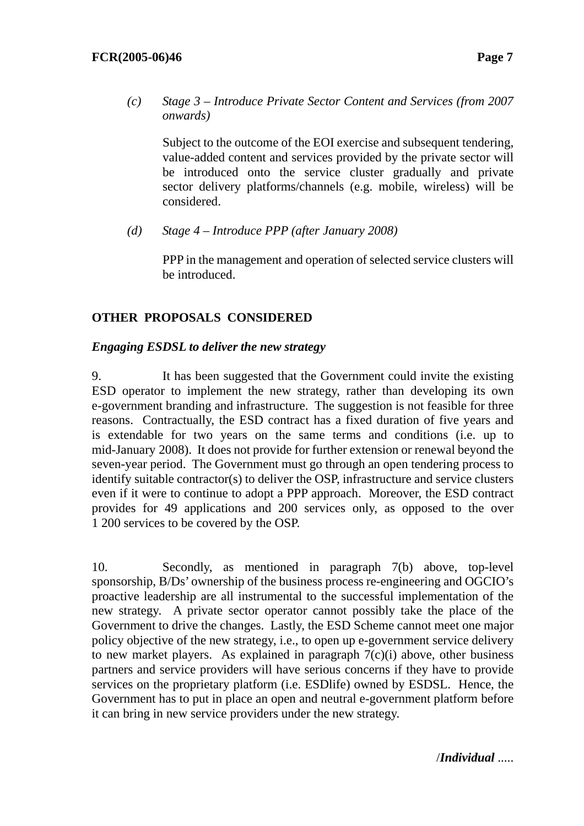*(c) Stage 3 – Introduce Private Sector Content and Services (from 2007 onwards)* 

 Subject to the outcome of the EOI exercise and subsequent tendering, value-added content and services provided by the private sector will be introduced onto the service cluster gradually and private sector delivery platforms/channels (e.g. mobile, wireless) will be considered.

*(d) Stage 4 – Introduce PPP (after January 2008)* 

 PPP in the management and operation of selected service clusters will be introduced.

# **OTHER PROPOSALS CONSIDERED**

# *Engaging ESDSL to deliver the new strategy*

9. It has been suggested that the Government could invite the existing ESD operator to implement the new strategy, rather than developing its own e-government branding and infrastructure. The suggestion is not feasible for three reasons. Contractually, the ESD contract has a fixed duration of five years and is extendable for two years on the same terms and conditions (i.e. up to mid-January 2008). It does not provide for further extension or renewal beyond the seven-year period. The Government must go through an open tendering process to identify suitable contractor(s) to deliver the OSP, infrastructure and service clusters even if it were to continue to adopt a PPP approach. Moreover, the ESD contract provides for 49 applications and 200 services only, as opposed to the over 1 200 services to be covered by the OSP.

10. Secondly, as mentioned in paragraph 7(b) above, top-level sponsorship, B/Ds' ownership of the business process re-engineering and OGCIO's proactive leadership are all instrumental to the successful implementation of the new strategy. A private sector operator cannot possibly take the place of the Government to drive the changes. Lastly, the ESD Scheme cannot meet one major policy objective of the new strategy, i.e., to open up e-government service delivery to new market players. As explained in paragraph  $7(c)(i)$  above, other business partners and service providers will have serious concerns if they have to provide services on the proprietary platform (i.e. ESDlife) owned by ESDSL. Hence, the Government has to put in place an open and neutral e-government platform before it can bring in new service providers under the new strategy.

/*Individual* .....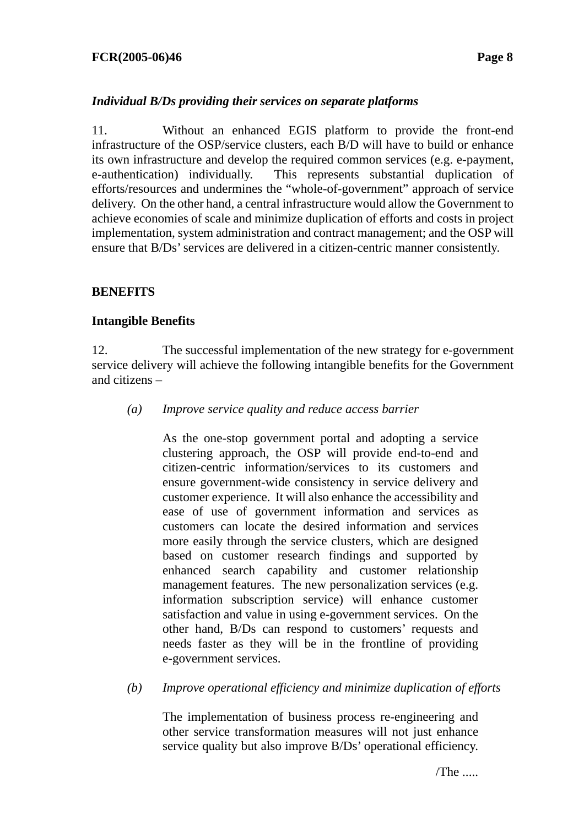### **FCR(2005-06)46 Page 8**

# *Individual B/Ds providing their services on separate platforms*

11. Without an enhanced EGIS platform to provide the front-end infrastructure of the OSP/service clusters, each B/D will have to build or enhance its own infrastructure and develop the required common services (e.g. e-payment, e-authentication) individually. This represents substantial duplication of efforts/resources and undermines the "whole-of-government" approach of service delivery. On the other hand, a central infrastructure would allow the Government to achieve economies of scale and minimize duplication of efforts and costs in project implementation, system administration and contract management; and the OSP will ensure that B/Ds' services are delivered in a citizen-centric manner consistently.

# **BENEFITS**

# **Intangible Benefits**

12. The successful implementation of the new strategy for e-government service delivery will achieve the following intangible benefits for the Government and citizens –

*(a) Improve service quality and reduce access barrier* 

As the one-stop government portal and adopting a service clustering approach, the OSP will provide end-to-end and citizen-centric information/services to its customers and ensure government-wide consistency in service delivery and customer experience. It will also enhance the accessibility and ease of use of government information and services as customers can locate the desired information and services more easily through the service clusters, which are designed based on customer research findings and supported by enhanced search capability and customer relationship management features. The new personalization services (e.g. information subscription service) will enhance customer satisfaction and value in using e-government services. On the other hand, B/Ds can respond to customers' requests and needs faster as they will be in the frontline of providing e-government services.

*(b) Improve operational efficiency and minimize duplication of efforts* 

The implementation of business process re-engineering and other service transformation measures will not just enhance service quality but also improve B/Ds' operational efficiency.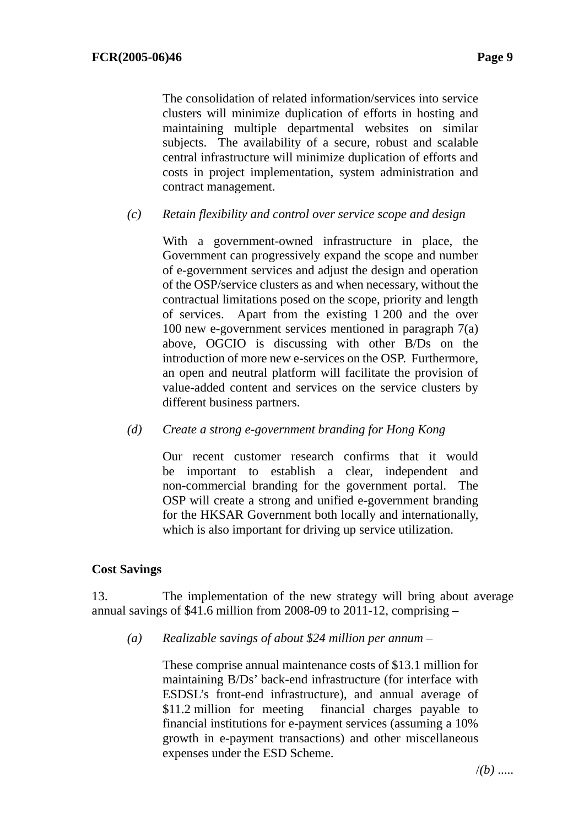The consolidation of related information/services into service clusters will minimize duplication of efforts in hosting and maintaining multiple departmental websites on similar subjects. The availability of a secure, robust and scalable central infrastructure will minimize duplication of efforts and costs in project implementation, system administration and contract management.

### *(c) Retain flexibility and control over service scope and design*

With a government-owned infrastructure in place, the Government can progressively expand the scope and number of e-government services and adjust the design and operation of the OSP/service clusters as and when necessary, without the contractual limitations posed on the scope, priority and length of services. Apart from the existing 1 200 and the over 100 new e-government services mentioned in paragraph 7(a) above, OGCIO is discussing with other B/Ds on the introduction of more new e-services on the OSP. Furthermore, an open and neutral platform will facilitate the provision of value-added content and services on the service clusters by different business partners.

#### *(d) Create a strong e-government branding for Hong Kong*

Our recent customer research confirms that it would be important to establish a clear, independent and non-commercial branding for the government portal. The OSP will create a strong and unified e-government branding for the HKSAR Government both locally and internationally, which is also important for driving up service utilization.

# **Cost Savings**

13. The implementation of the new strategy will bring about average annual savings of \$41.6 million from 2008-09 to 2011-12, comprising –

*(a) Realizable savings of about \$24 million per annum* –

These comprise annual maintenance costs of \$13.1 million for maintaining B/Ds' back-end infrastructure (for interface with ESDSL's front-end infrastructure), and annual average of \$11.2 million for meeting financial charges payable to financial institutions for e-payment services (assuming a 10% growth in e-payment transactions) and other miscellaneous expenses under the ESD Scheme.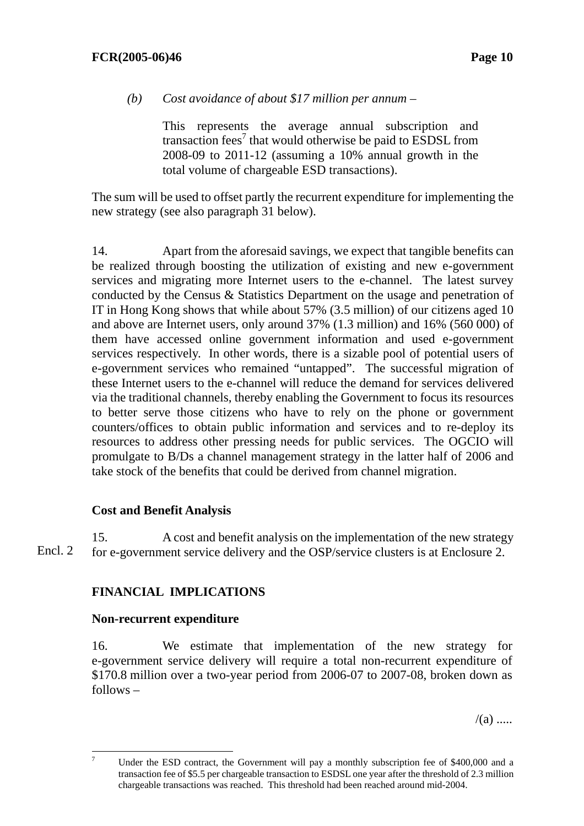*(b) Cost avoidance of about \$17 million per annum* –

This represents the average annual subscription and transaction fees<sup>7</sup> that would otherwise be paid to ESDSL from 2008-09 to 2011-12 (assuming a 10% annual growth in the total volume of chargeable ESD transactions).

The sum will be used to offset partly the recurrent expenditure for implementing the new strategy (see also paragraph 31 below).

14. Apart from the aforesaid savings, we expect that tangible benefits can be realized through boosting the utilization of existing and new e-government services and migrating more Internet users to the e-channel. The latest survey conducted by the Census & Statistics Department on the usage and penetration of IT in Hong Kong shows that while about 57% (3.5 million) of our citizens aged 10 and above are Internet users, only around 37% (1.3 million) and 16% (560 000) of them have accessed online government information and used e-government services respectively. In other words, there is a sizable pool of potential users of e-government services who remained "untapped". The successful migration of these Internet users to the e-channel will reduce the demand for services delivered via the traditional channels, thereby enabling the Government to focus its resources to better serve those citizens who have to rely on the phone or government counters/offices to obtain public information and services and to re-deploy its resources to address other pressing needs for public services. The OGCIO will promulgate to B/Ds a channel management strategy in the latter half of 2006 and take stock of the benefits that could be derived from channel migration.

# **Cost and Benefit Analysis**

15. A cost and benefit analysis on the implementation of the new strategy for e-government service delivery and the OSP/service clusters is at Enclosure 2. Encl. 2

# **FINANCIAL IMPLICATIONS**

# **Non-recurrent expenditure**

16. We estimate that implementation of the new strategy for e-government service delivery will require a total non-recurrent expenditure of \$170.8 million over a two-year period from 2006-07 to 2007-08, broken down as follows –

 $/(a)$  .....

<sup>&</sup>lt;sup>-</sup> Under the ESD contract, the Government will pay a monthly subscription fee of \$400,000 and a transaction fee of \$5.5 per chargeable transaction to ESDSL one year after the threshold of 2.3 million chargeable transactions was reached. This threshold had been reached around mid-2004.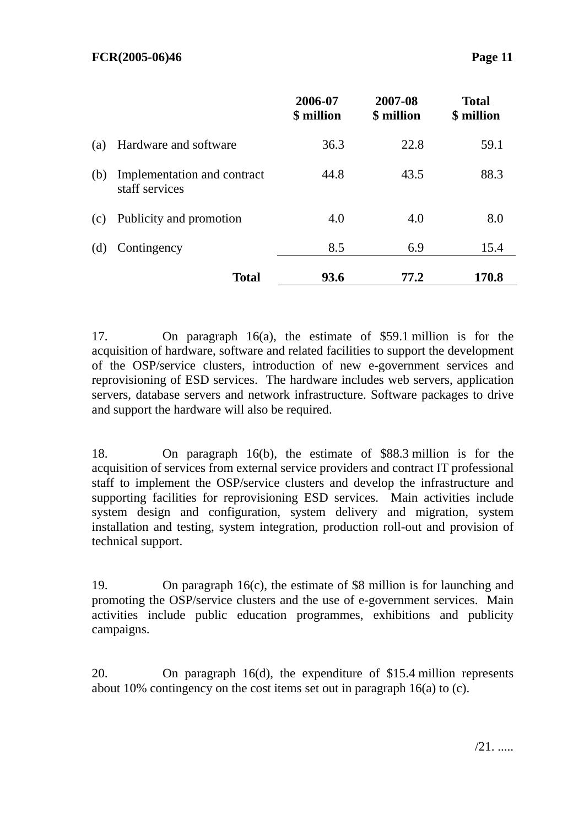|     |                                               | 2006-07<br>\$ million | 2007-08<br>\$ million | <b>Total</b><br>\$ million |
|-----|-----------------------------------------------|-----------------------|-----------------------|----------------------------|
| (a) | Hardware and software                         | 36.3                  | 22.8                  | 59.1                       |
| (b) | Implementation and contract<br>staff services | 44.8                  | 43.5                  | 88.3                       |
| (c) | Publicity and promotion                       | 4.0                   | 4.0                   | 8.0                        |
| (d) | Contingency                                   | 8.5                   | 6.9                   | 15.4                       |
|     | <b>Total</b>                                  | 93.6                  | 77.2                  | 170.8                      |

17. On paragraph 16(a), the estimate of \$59.1 million is for the acquisition of hardware, software and related facilities to support the development of the OSP/service clusters, introduction of new e-government services and reprovisioning of ESD services. The hardware includes web servers, application servers, database servers and network infrastructure. Software packages to drive and support the hardware will also be required.

18. On paragraph 16(b), the estimate of \$88.3 million is for the acquisition of services from external service providers and contract IT professional staff to implement the OSP/service clusters and develop the infrastructure and supporting facilities for reprovisioning ESD services. Main activities include system design and configuration, system delivery and migration, system installation and testing, system integration, production roll-out and provision of technical support.

19. On paragraph 16(c), the estimate of \$8 million is for launching and promoting the OSP/service clusters and the use of e-government services. Main activities include public education programmes, exhibitions and publicity campaigns.

20. On paragraph 16(d), the expenditure of \$15.4 million represents about 10% contingency on the cost items set out in paragraph 16(a) to (c).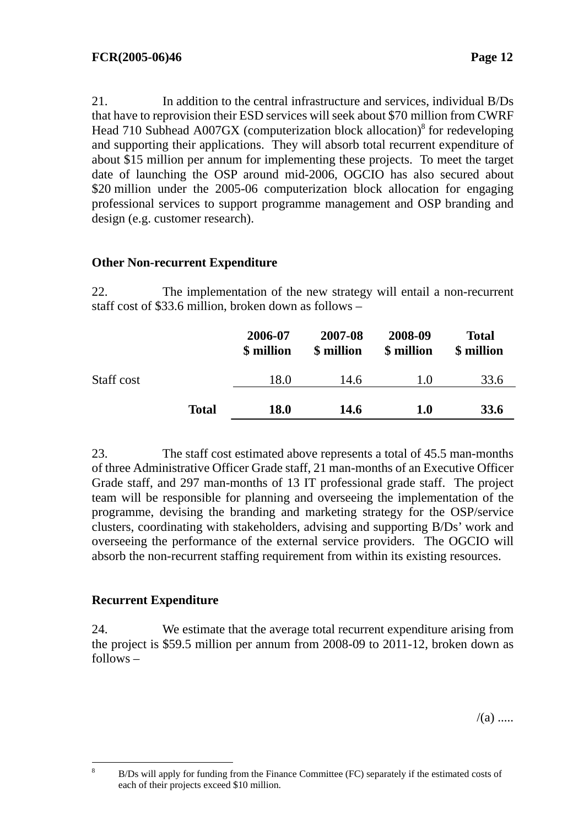21. In addition to the central infrastructure and services, individual B/Ds that have to reprovision their ESD services will seek about \$70 million from CWRF Head  $710$  Subhead A007GX (computerization block allocation)<sup>8</sup> for redeveloping and supporting their applications. They will absorb total recurrent expenditure of about \$15 million per annum for implementing these projects. To meet the target date of launching the OSP around mid-2006, OGCIO has also secured about \$20 million under the 2005-06 computerization block allocation for engaging professional services to support programme management and OSP branding and design (e.g. customer research).

### **Other Non-recurrent Expenditure**

22. The implementation of the new strategy will entail a non-recurrent staff cost of \$33.6 million, broken down as follows –

|            |              | 2006-07<br>\$ million | 2007-08<br>\$ million | 2008-09<br>\$ million | <b>Total</b><br>\$ million |
|------------|--------------|-----------------------|-----------------------|-----------------------|----------------------------|
| Staff cost |              | 18.0                  | 14.6                  | 1.0                   | 33.6                       |
|            | <b>Total</b> | <b>18.0</b>           | <b>14.6</b>           | $1.0\,$               | <b>33.6</b>                |

23. The staff cost estimated above represents a total of 45.5 man-months of three Administrative Officer Grade staff, 21 man-months of an Executive Officer Grade staff, and 297 man-months of 13 IT professional grade staff. The project team will be responsible for planning and overseeing the implementation of the programme, devising the branding and marketing strategy for the OSP/service clusters, coordinating with stakeholders, advising and supporting B/Ds' work and overseeing the performance of the external service providers. The OGCIO will absorb the non-recurrent staffing requirement from within its existing resources.

# **Recurrent Expenditure**

24. We estimate that the average total recurrent expenditure arising from the project is \$59.5 million per annum from 2008-09 to 2011-12, broken down as follows –

 $/(a)$  .....

 8 B/Ds will apply for funding from the Finance Committee (FC) separately if the estimated costs of each of their projects exceed \$10 million.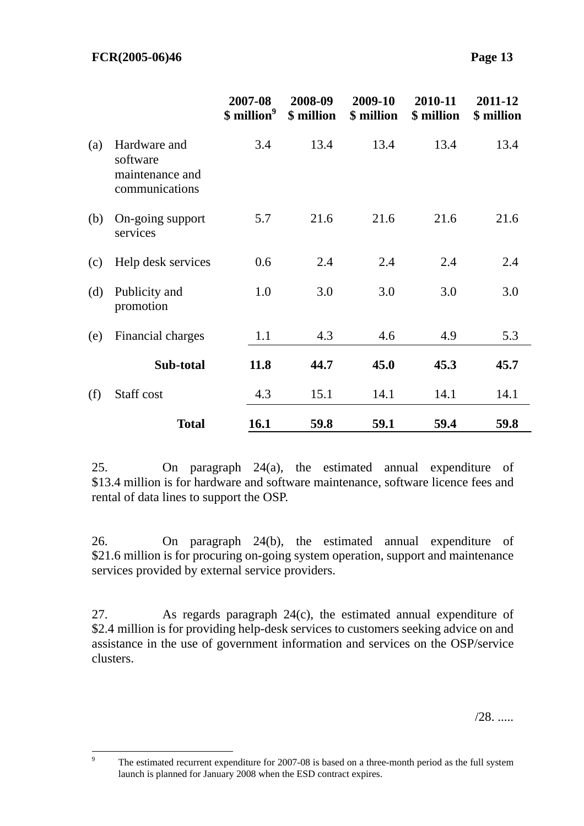|     |                                                               | 2007-08<br>\$ million <sup>9</sup> | 2008-09<br>\$ million | 2009-10<br>\$ million | 2010-11<br>\$ million | 2011-12<br>\$ million |
|-----|---------------------------------------------------------------|------------------------------------|-----------------------|-----------------------|-----------------------|-----------------------|
| (a) | Hardware and<br>software<br>maintenance and<br>communications | 3.4                                | 13.4                  | 13.4                  | 13.4                  | 13.4                  |
| (b) | On-going support<br>services                                  | 5.7                                | 21.6                  | 21.6                  | 21.6                  | 21.6                  |
| (c) | Help desk services                                            | 0.6                                | 2.4                   | 2.4                   | 2.4                   | 2.4                   |
| (d) | Publicity and<br>promotion                                    | 1.0                                | 3.0                   | 3.0                   | 3.0                   | 3.0                   |
| (e) | Financial charges                                             | 1.1                                | 4.3                   | 4.6                   | 4.9                   | 5.3                   |
|     | Sub-total                                                     | 11.8                               | 44.7                  | 45.0                  | 45.3                  | 45.7                  |
| (f) | Staff cost                                                    | 4.3                                | 15.1                  | 14.1                  | 14.1                  | 14.1                  |
|     | <b>Total</b>                                                  | 16.1                               | 59.8                  | 59.1                  | 59.4                  | 59.8                  |

25. On paragraph 24(a), the estimated annual expenditure of \$13.4 million is for hardware and software maintenance, software licence fees and rental of data lines to support the OSP.

26. On paragraph 24(b), the estimated annual expenditure of \$21.6 million is for procuring on-going system operation, support and maintenance services provided by external service providers.

27. As regards paragraph 24(c), the estimated annual expenditure of \$2.4 million is for providing help-desk services to customers seeking advice on and assistance in the use of government information and services on the OSP/service clusters.

/28. .....

<sup>-&</sup>lt;br>9 The estimated recurrent expenditure for 2007-08 is based on a three-month period as the full system launch is planned for January 2008 when the ESD contract expires.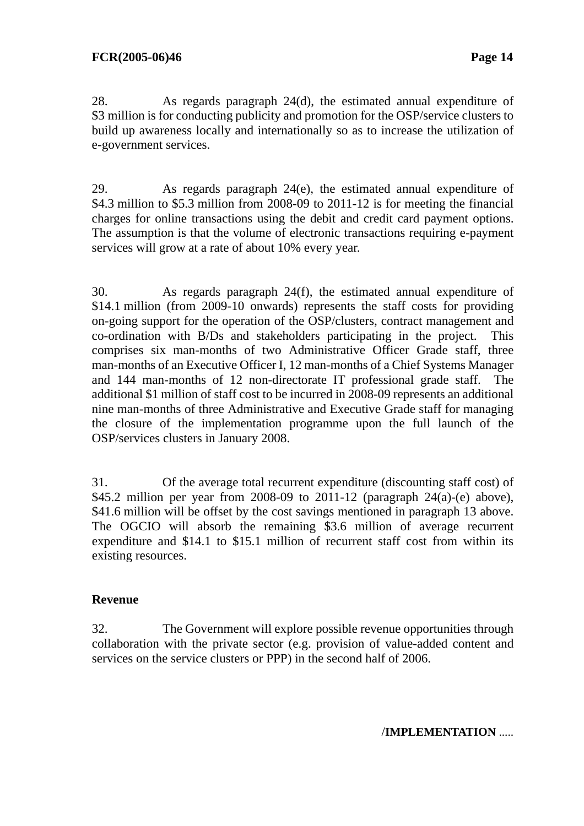28. As regards paragraph 24(d), the estimated annual expenditure of \$3 million is for conducting publicity and promotion for the OSP/service clusters to build up awareness locally and internationally so as to increase the utilization of e-government services.

29. As regards paragraph 24(e), the estimated annual expenditure of \$4.3 million to \$5.3 million from 2008-09 to 2011-12 is for meeting the financial charges for online transactions using the debit and credit card payment options. The assumption is that the volume of electronic transactions requiring e-payment services will grow at a rate of about 10% every year.

30. As regards paragraph 24(f), the estimated annual expenditure of \$14.1 million (from 2009-10 onwards) represents the staff costs for providing on-going support for the operation of the OSP/clusters, contract management and co-ordination with B/Ds and stakeholders participating in the project. This comprises six man-months of two Administrative Officer Grade staff, three man-months of an Executive Officer I, 12 man-months of a Chief Systems Manager and 144 man-months of 12 non-directorate IT professional grade staff. The additional \$1 million of staff cost to be incurred in 2008-09 represents an additional nine man-months of three Administrative and Executive Grade staff for managing the closure of the implementation programme upon the full launch of the OSP/services clusters in January 2008.

31. Of the average total recurrent expenditure (discounting staff cost) of \$45.2 million per year from 2008-09 to 2011-12 (paragraph 24(a)-(e) above), \$41.6 million will be offset by the cost savings mentioned in paragraph 13 above. The OGCIO will absorb the remaining \$3.6 million of average recurrent expenditure and \$14.1 to \$15.1 million of recurrent staff cost from within its existing resources.

# **Revenue**

32. The Government will explore possible revenue opportunities through collaboration with the private sector (e.g. provision of value-added content and services on the service clusters or PPP) in the second half of 2006.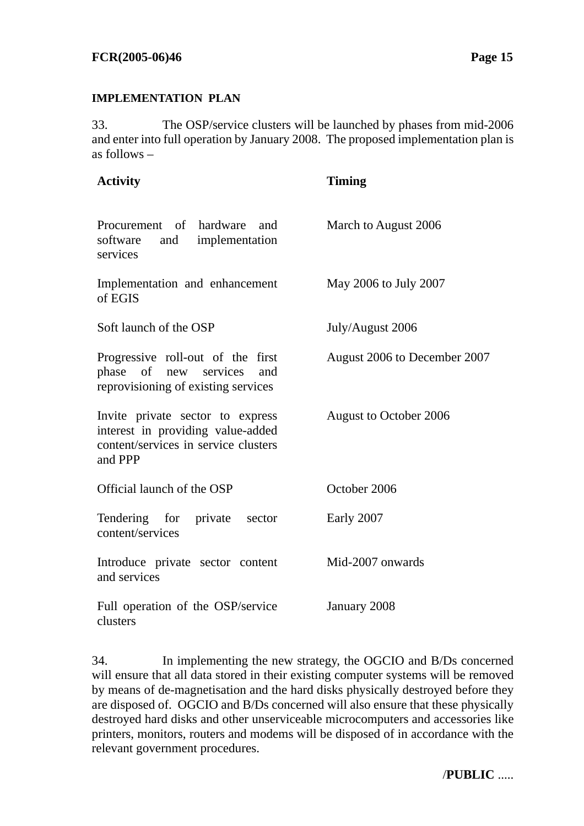### **IMPLEMENTATION PLAN**

33. The OSP/service clusters will be launched by phases from mid-2006 and enter into full operation by January 2008. The proposed implementation plan is as follows –

| <b>Activity</b>                                                                                                          | <b>Timing</b>                |
|--------------------------------------------------------------------------------------------------------------------------|------------------------------|
| Procurement of hardware and<br>software<br>and implementation<br>services                                                | March to August 2006         |
| Implementation and enhancement<br>of EGIS                                                                                | May 2006 to July 2007        |
| Soft launch of the OSP                                                                                                   | July/August 2006             |
| Progressive roll-out of the first<br>phase of new services and<br>reprovisioning of existing services                    | August 2006 to December 2007 |
| Invite private sector to express<br>interest in providing value-added<br>content/services in service clusters<br>and PPP | August to October 2006       |
| Official launch of the OSP                                                                                               | October 2006                 |
| Tendering for<br>private<br>sector<br>content/services                                                                   | Early 2007                   |
| Introduce private sector content<br>and services                                                                         | Mid-2007 onwards             |
| Full operation of the OSP/service<br>clusters                                                                            | January 2008                 |

34. In implementing the new strategy, the OGCIO and B/Ds concerned will ensure that all data stored in their existing computer systems will be removed by means of de-magnetisation and the hard disks physically destroyed before they are disposed of. OGCIO and B/Ds concerned will also ensure that these physically destroyed hard disks and other unserviceable microcomputers and accessories like printers, monitors, routers and modems will be disposed of in accordance with the relevant government procedures.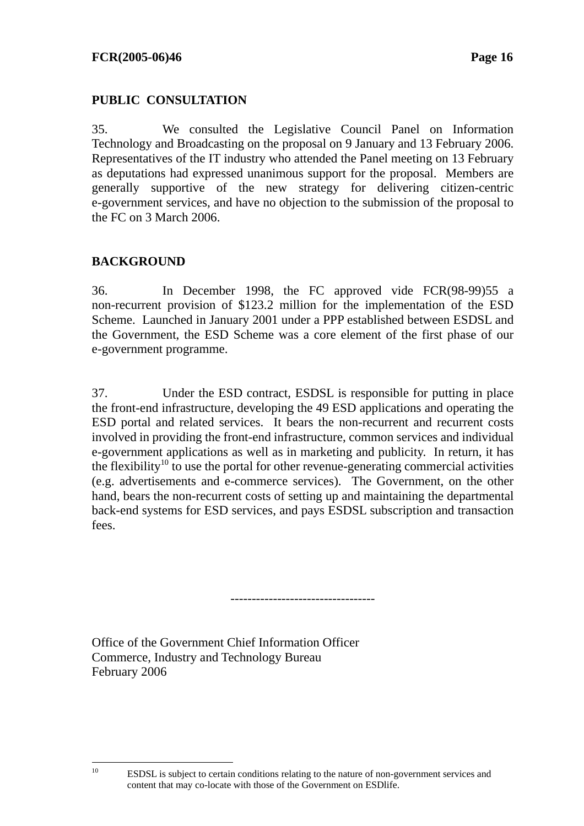# **PUBLIC CONSULTATION**

35. We consulted the Legislative Council Panel on Information Technology and Broadcasting on the proposal on 9 January and 13 February 2006. Representatives of the IT industry who attended the Panel meeting on 13 February as deputations had expressed unanimous support for the proposal. Members are generally supportive of the new strategy for delivering citizen-centric e-government services, and have no objection to the submission of the proposal to the FC on 3 March 2006.

# **BACKGROUND**

36. In December 1998, the FC approved vide FCR(98-99)55 a non-recurrent provision of \$123.2 million for the implementation of the ESD Scheme. Launched in January 2001 under a PPP established between ESDSL and the Government, the ESD Scheme was a core element of the first phase of our e-government programme.

37. Under the ESD contract, ESDSL is responsible for putting in place the front-end infrastructure, developing the 49 ESD applications and operating the ESD portal and related services. It bears the non-recurrent and recurrent costs involved in providing the front-end infrastructure, common services and individual e-government applications as well as in marketing and publicity. In return, it has the flexibility<sup>10</sup> to use the portal for other revenue-generating commercial activities (e.g. advertisements and e-commerce services). The Government, on the other hand, bears the non-recurrent costs of setting up and maintaining the departmental back-end systems for ESD services, and pays ESDSL subscription and transaction fees.

----------------------------------

Office of the Government Chief Information Officer Commerce, Industry and Technology Bureau February 2006

 $10$ 

<sup>10</sup> ESDSL is subject to certain conditions relating to the nature of non-government services and content that may co-locate with those of the Government on ESDlife.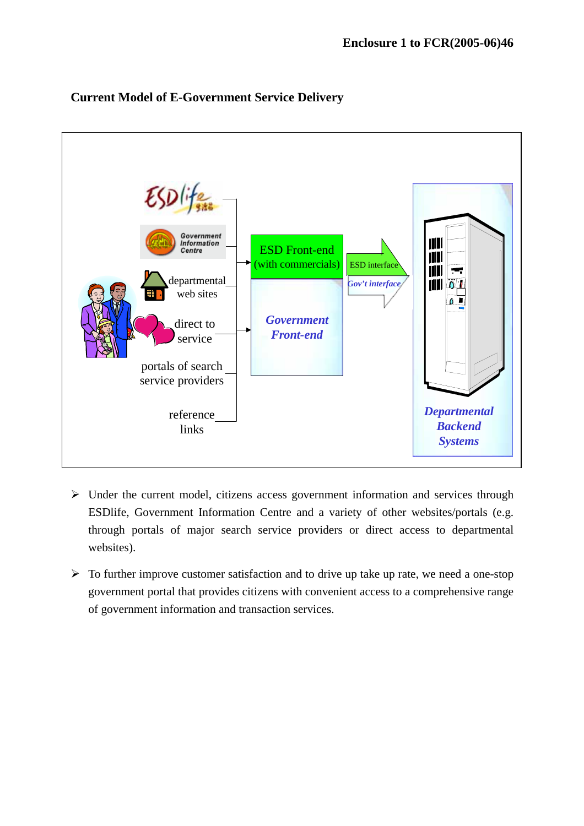

# **Current Model of E-Government Service Delivery**

- $\triangleright$  Under the current model, citizens access government information and services through ESDlife, Government Information Centre and a variety of other websites/portals (e.g. through portals of major search service providers or direct access to departmental websites).
- $\triangleright$  To further improve customer satisfaction and to drive up take up rate, we need a one-stop government portal that provides citizens with convenient access to a comprehensive range of government information and transaction services.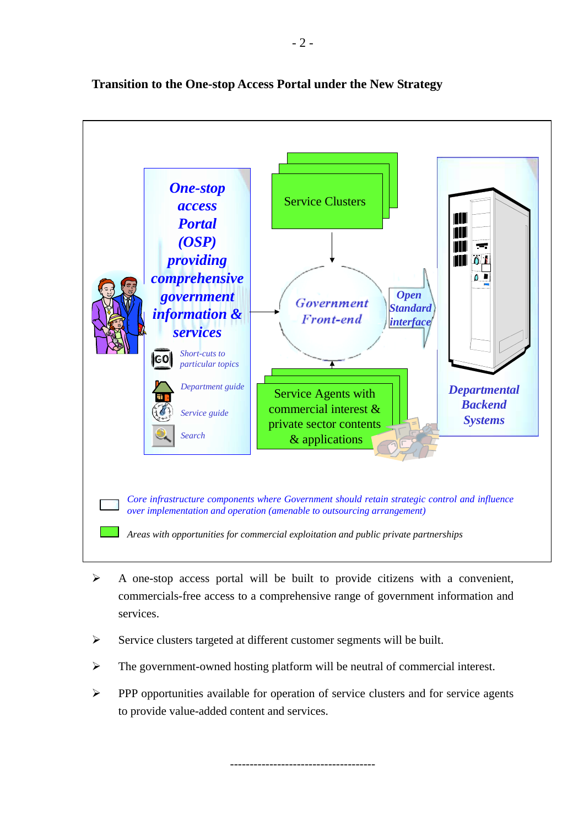*One-stop* Service Clusters *access Portal (OSP) providing comprehensive Open government Open Standard information &* **Front-end** *interface services Short-cuts to*  |co| *particular topics Department guide Departmental*  Service Agents with *Backend*  commercial interest & *Service guide Systems* private sector contents *Search* & applications *Core infrastructure components where Government should retain strategic control and influence over implementation and operation (amenable to outsourcing arrangement) Areas with opportunities for commercial exploitation and public private partnerships* 

# **Transition to the One-stop Access Portal under the New Strategy**

- $\triangleright$  A one-stop access portal will be built to provide citizens with a convenient, commercials-free access to a comprehensive range of government information and services.
- $\triangleright$  Service clusters targeted at different customer segments will be built.
- $\triangleright$  The government-owned hosting platform will be neutral of commercial interest.
- ! PPP opportunities available for operation of service clusters and for service agents to provide value-added content and services.

-------------------------------------

- 2 -